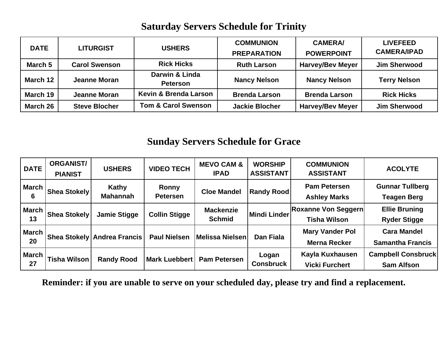### **Saturday Servers Schedule for Trinity**

| <b>DATE</b> | <b>LITURGIST</b>     | <b>USHERS</b>                     | <b>COMMUNION</b><br><b>PREPARATION</b> | <b>CAMERA/</b><br><b>POWERPOINT</b> | <b>LIVEFEED</b><br><b>CAMERA/IPAD</b> |
|-------------|----------------------|-----------------------------------|----------------------------------------|-------------------------------------|---------------------------------------|
| March 5     | <b>Carol Swenson</b> | <b>Rick Hicks</b>                 | <b>Ruth Larson</b>                     | <b>Harvey/Bev Meyer</b>             | <b>Jim Sherwood</b>                   |
| March 12    | <b>Jeanne Moran</b>  | Darwin & Linda<br><b>Peterson</b> | <b>Nancy Nelson</b>                    | <b>Nancy Nelson</b>                 | <b>Terry Nelson</b>                   |
| March 19    | Jeanne Moran         | Kevin & Brenda Larson             | <b>Brenda Larson</b>                   | <b>Brenda Larson</b>                | <b>Rick Hicks</b>                     |
| March 26    | <b>Steve Blocher</b> | <b>Tom &amp; Carol Swenson</b>    | <b>Jackie Blocher</b>                  | <b>Harvey/Bev Meyer</b>             | <b>Jim Sherwood</b>                   |

#### **Sunday Servers Schedule for Grace**

| <b>DATE</b>        | <b>ORGANIST/</b><br><b>PIANIST</b> | <b>USHERS</b>                          | <b>VIDEO TECH</b>               | <b>MEVO CAM &amp;</b><br><b>IPAD</b> | <b>WORSHIP</b><br><b>ASSISTANT</b> | <b>COMMUNION</b><br><b>ASSISTANT</b>              | <b>ACOLYTE</b>                                 |
|--------------------|------------------------------------|----------------------------------------|---------------------------------|--------------------------------------|------------------------------------|---------------------------------------------------|------------------------------------------------|
| March<br>6         | <b>Shea Stokely</b>                | Kathy<br><b>Mahannah</b>               | <b>Ronny</b><br><b>Petersen</b> | <b>Cloe Mandel</b>                   | <b>Randy Rood</b>                  | <b>Pam Petersen</b><br><b>Ashley Marks</b>        | <b>Gunnar Tullberg</b><br><b>Teagen Berg</b>   |
| <b>March</b><br>13 | <b>Shea Stokely</b>                | <b>Jamie Stigge</b>                    | <b>Collin Stigge</b>            | <b>Mackenzie</b><br><b>Schmid</b>    | Mindi Linder                       | <b>Roxanne Von Seggern</b><br><b>Tisha Wilson</b> | <b>Ellie Bruning</b><br><b>Ryder Stigge</b>    |
| March I<br>20      |                                    | <b>Shea Stokely   Andrea Francis  </b> | <b>Paul Nielsen</b>             | <b>Melissa Nielsen</b>               | <b>Dan Fiala</b>                   | <b>Mary Vander Pol</b><br><b>Merna Recker</b>     | <b>Cara Mandel</b><br><b>Samantha Francis</b>  |
| <b>March</b><br>27 | <b>Tisha Wilson</b>                | <b>Randy Rood</b>                      | <b>Mark Luebbert</b>            | <b>Pam Petersen</b>                  | Logan<br><b>Consbruck</b>          | Kayla Kuxhausen<br><b>Vicki Furchert</b>          | <b>Campbell Consbruck</b><br><b>Sam Alfson</b> |

**Reminder: if you are unable to serve on your scheduled day, please try and find a replacement.**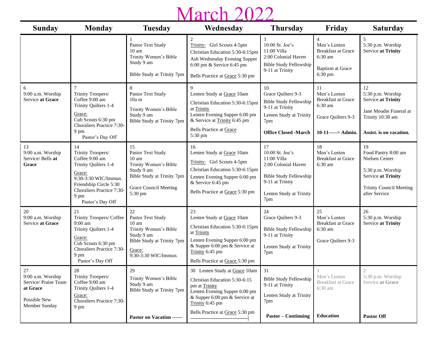## March 2022

| <b>Sunday</b>                                                                                | <b>Monday</b>                                                                                                                                                                          | <b>Tuesday</b>                                                                                                                                             | Wednesday                                                                                                                                                                                                   | <b>Thursday</b>                                                                                                                                   | Friday                                                                                                       | <b>Saturday</b>                                                                                                                           |
|----------------------------------------------------------------------------------------------|----------------------------------------------------------------------------------------------------------------------------------------------------------------------------------------|------------------------------------------------------------------------------------------------------------------------------------------------------------|-------------------------------------------------------------------------------------------------------------------------------------------------------------------------------------------------------------|---------------------------------------------------------------------------------------------------------------------------------------------------|--------------------------------------------------------------------------------------------------------------|-------------------------------------------------------------------------------------------------------------------------------------------|
|                                                                                              |                                                                                                                                                                                        | Pastor Text Study<br>$10 \text{ am}$<br>Trinity Women's Bible<br>Study 9 am<br>Bible Study at Trinity 7pm                                                  | 2<br>Trinity: Girl Scouts 4-5pm<br>Christian Education 5:30-6:15pm<br>Ash Wednesday Evening Supper<br>6:00 pm & Service 6:45 pm<br>Bells Practice at Grace 5:30 pm                                          | 3<br>10:00 St. Joe's<br>11:00 Villa<br>2:00 Colonial Haven<br><b>Bible Study Fellowship</b><br>9-11 at Trinity                                    | $\overline{4}$<br>Men's Lenten<br><b>Breakfast at Grace</b><br>6:30 am<br><b>Baptism at Grace</b><br>6:30 pm | 5<br>5:30 p.m. Worship<br><b>Service at Trinity</b>                                                                                       |
| 6<br>9:00 a.m. Worship<br>Service at Grace                                                   | Trinity Troopers/<br>Coffee 9:00 am<br>Trinity Quilters 1-4<br>Grace:<br>Cub Scouts 6:30 pm<br>Choraliers Practice 7:30-<br>9 pm<br>Pastor's Day Off                                   | 8<br>Pastor Text Study<br>10am<br>Trinity Women's Bible<br>Study 9 am<br>Bible Study at Trinity 7pm                                                        | 9<br>Lenten Study at Grace 10am<br>Christian Education 5:30-6:15pm<br>at Trinity<br>Lenten Evening Supper 6:00 pm<br>& Service at Trinity 6:45 pm<br><b>Bells Practice at Grace</b><br>5:30 pm              | 10<br>Grace Quilters 9-3<br><b>Bible Study Fellowship</b><br>9-11 at Trinity<br>Lenten Study at Trinity<br>7pm<br><b>Office Closed -March</b>     | 11<br>Men's Lenten<br><b>Breakfast at Grace</b><br>6:30 am<br>Grace Quilters 9-3<br>$10-11$ -----> Admin.    | 12<br>5:30 p.m. Worship<br>Service at Trinity<br>Jane Moodie Funeral at<br>Trinity 10:30 am<br>Assist. is on vacation.                    |
| 13<br>9:00 a.m. Worship<br>Service/ Bells at<br>Grace                                        | 14<br>Trinity Troopers/<br>Coffee 9:00 am<br>Trinity Quilters 1-4<br>Grace:<br>9:30-3:30 WIC/Immun.<br>Friendship Circle 5:30<br>Choraliers Practice 7:30-<br>9 pm<br>Pastor's Day Off | 15<br>Pastor Text Study<br>$10 \text{ am}$<br>Trinity Women's Bible<br>Study 9 am<br>Bible Study at Trinity 7pm<br><b>Grace Council Meeting</b><br>5:30 pm | 16<br>Lenten Study at Grace 10am<br>Trinity: Girl Scouts 4-5pm<br>Christian Education 5:30-6:15pm<br>Lenten Evening Supper 6:00 pm<br>& Service 6:45 pm<br>Bells Practice at Grace 5:30 pm                  | 17<br>10:00 St. Joe's<br>11:00 Villa<br>2:00 Colonial Haven<br><b>Bible Study Fellowship</b><br>9-11 at Trinity<br>Lenten Study at Trinity<br>7pm | 18<br>Men's Lenten<br><b>Breakfast at Grace</b><br>6:30 am                                                   | 19<br>Food Pantry 8:00 am<br>Nielsen Center<br>5:30 p.m. Worship<br>Service at Trinity<br><b>Trinity Council Meeting</b><br>after Service |
| 20<br>9:00 a.m. Worship<br>Service at Grace                                                  | 21<br>Trinity Troopers/ Coffee<br>$9:00$ am<br>Trinity Quilters 1-4<br>Grace:<br>Cub Scouts 6:30 pm<br>Choraliers Practice 7:30-<br>9 pm<br>Pastor's Day Off                           | 22<br>Pastor Text Study<br>10 <sub>am</sub><br>Trinity Women's Bible<br>Study 9 am<br>Bible Study at Trinity 7pm<br>Grace:<br>9:30-3:30 WIC/Immun.         | 23<br>Lenten Study at Grace 10am<br>Christian Education 5:30-6:15pm<br>at Trinity<br>Lenten Evening Supper 6:00 pm<br>& Supper 6:00 pm & Service at<br>Trinity 6:45 pm<br>Bells Practice at Grace 5:30 pm   | 24<br>Grace Quilters 9-3<br><b>Bible Study Fellowship</b><br>9-11 at Trinity<br>Lenten Study at Trinity<br>7pm                                    | 25<br>Men's Lenten<br><b>Breakfast at Grace</b><br>6:30 am<br>Grace Quilters 9-3                             | 26<br>5:30 p.m. Worship<br>Service at Trinity                                                                                             |
| 27<br>9:00 a.m. Worship<br>Service/ Praise Team<br>at Grace<br>Possible New<br>Member Sunday | $28\,$<br>Trinity Troopers/<br>Coffee 9:00 am<br>Trinity Quilters 1-4<br>Grace:<br>Choraliers Practice 7:30-<br>9 pm                                                                   | 29<br>Trinity Women's Bible<br>Study 9 am<br>Bible Study at Trinity 7pm<br>Pastor on Vacation ------                                                       | 30 Lenten Study at Grace 10am<br>Christian Education 5:30-6:15<br>pm at Trinity<br>Lenten Evening Supper 6:00 pm<br>& Supper 6:00 pm & Service at<br>Trinity 6:45 pm<br>Bells Practice at Grace 5:30 pm<br> | 31<br><b>Bible Study Fellowship</b><br>9-11 at Trinity<br>Lenten Study at Trinity<br>7pm<br><b>Pastor – Continuing</b>                            | Men's Lenten<br><b>Breakfast at Grace</b><br>6:30 am<br>Education                                            | $\sqrt{2}$<br>5:30 p.m. Worship<br>Service at Grace<br><b>Pastor Off</b>                                                                  |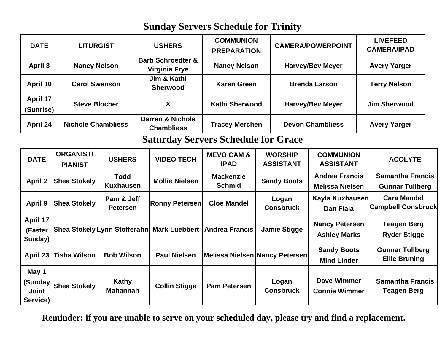### **Sunday Servers Schedule for Trinity**

| <b>DATE</b>                                  | <b>LITURGIST</b>                   |                                 | <b>USHERS</b>                                        | <b>COMMUNION</b><br><b>PREPARATION</b> |                       | <b>CAMERA/POWERPOINT</b>                                                   |                                              | <b>LIVEFEED</b><br><b>CAMERA/IPAD</b>             |  |
|----------------------------------------------|------------------------------------|---------------------------------|------------------------------------------------------|----------------------------------------|-----------------------|----------------------------------------------------------------------------|----------------------------------------------|---------------------------------------------------|--|
| <b>April 3</b>                               | <b>Nancy Nelson</b>                |                                 | <b>Barb Schroedter &amp;</b><br><b>Virginia Frye</b> | <b>Nancy Nelson</b>                    |                       | <b>Harvey/Bev Meyer</b>                                                    | <b>Avery Yarger</b>                          |                                                   |  |
| April 10                                     |                                    | <b>Carol Swenson</b>            | Jim & Kathi<br><b>Sherwood</b>                       | <b>Karen Green</b>                     |                       |                                                                            | <b>Brenda Larson</b>                         | <b>Terry Nelson</b>                               |  |
| April 17<br>(Sunrise)                        | <b>Steve Blocher</b>               |                                 | $\boldsymbol{x}$                                     |                                        | <b>Kathi Sherwood</b> |                                                                            | <b>Harvey/Bev Meyer</b>                      | <b>Jim Sherwood</b>                               |  |
| April 24                                     | <b>Nichole Chambliess</b>          |                                 | Darren & Nichole<br><b>Chambliess</b>                | <b>Tracey Merchen</b>                  |                       |                                                                            | <b>Devon Chambliess</b>                      | <b>Avery Yarger</b>                               |  |
| <b>Saturday Servers Schedule for Grace</b>   |                                    |                                 |                                                      |                                        |                       |                                                                            |                                              |                                                   |  |
| <b>DATE</b>                                  | <b>ORGANIST/</b><br><b>PIANIST</b> | <b>USHERS</b>                   | <b>VIDEO TECH</b>                                    | <b>MEVO CAM &amp;</b><br><b>IPAD</b>   |                       | <b>WORSHIP</b><br><b>COMMUNION</b><br><b>ASSISTANT</b><br><b>ASSISTANT</b> |                                              | <b>ACOLYTE</b>                                    |  |
| <b>April 2</b>                               | <b>Shea Stokely</b>                | <b>Todd</b><br><b>Kuxhausen</b> | <b>Mollie Nielsen</b>                                | <b>Mackenzie</b><br><b>Schmid</b>      |                       | <b>Andrea Francis</b><br><b>Sandy Boots</b><br><b>Melissa Nielsen</b>      |                                              | <b>Samantha Francis</b><br><b>Gunnar Tullberg</b> |  |
| <b>April 9</b>                               | <b>Shea Stokely</b>                | Pam & Jeff<br><b>Petersen</b>   | <b>Ronny Petersen</b>                                | <b>Cloe Mandel</b>                     |                       | Logan<br><b>Consbruck</b>                                                  | Kayla Kuxhausen<br><b>Dan Fiala</b>          | <b>Cara Mandel</b><br><b>Campbell Consbruck</b>   |  |
| April 17<br>(Easter<br>Sunday)               |                                    |                                 | Shea Stokely Lynn Stofferahn Mark Luebbert           | <b>Andrea Francis</b>                  |                       | <b>Jamie Stigge</b>                                                        | <b>Nancy Petersen</b><br><b>Ashley Marks</b> | <b>Teagen Berg</b><br><b>Ryder Stigge</b>         |  |
| April 23                                     | <b>Tisha Wilson</b>                | <b>Bob Wilson</b>               | <b>Paul Nielsen</b>                                  | Melissa Nielsen Nancy Petersen         |                       |                                                                            | <b>Sandy Boots</b><br><b>Mind Linder</b>     | <b>Gunnar Tullberg</b><br><b>Ellie Bruning</b>    |  |
| May 1<br>(Sunday<br><b>Joint</b><br>Service) | <b>Shea Stokely</b>                | Kathy<br><b>Mahannah</b>        | <b>Collin Stigge</b>                                 | <b>Pam Petersen</b>                    |                       | Logan<br><b>Consbruck</b>                                                  | <b>Dave Wimmer</b><br><b>Connie Wimmer</b>   | <b>Samantha Francis</b><br><b>Teagen Berg</b>     |  |

**Reminder: if you are unable to serve on your scheduled day, please try and find a replacement.**